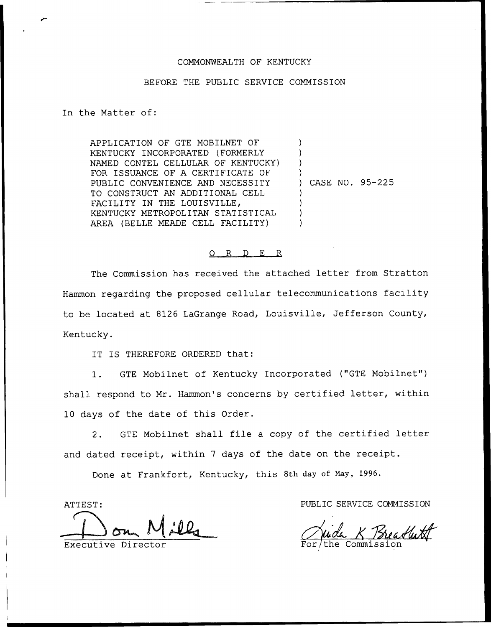### COMMONWEALTH OF KENTUCKY

#### BEFORE THE PUBLIC SERVICE COMMISSION

In the Matter of:

APPLICATION OF GTE MOBILNET OF KENTUCKY INCORPORATED (FORMERLY NAMED CONTEL CELLULAR OF KENTUCKY) FOR ISSUANCE OF A CERTIFICATE OF PUBLIC CONVENIENCE AND NECESSITY TO CONSTRUCT AN ADDITIONAL CELL FACILITY IN THE LOUISVILLE, KENTUCKY METROPOLITAN STATISTICAL AREA (BELLE MEADE CELL FACILITY) ) ) ) ) ) ) ) )

) CASE NO. 95-225

#### 0 R <sup>D</sup> E R

The Commission has received the attached letter from Stratton Hammon regarding the proposed cellular telecommunications facility to be located at 8126 LaGrange Road, Louisville, Jefferson County, Kentucky.

IT IS THEREFORE ORDERED that:

1. GTE Mobilnet of Kentucky Incorporated ("GTE Mobilnet") shall respond to Mr. Hammon's concerns by certified letter, within 10 days of the date of this Order.

2. GTE Mobilnet shall file <sup>a</sup> copy of the certified letter and dated receipt, within <sup>7</sup> days of the date on the receipt.

Done at Frankfort, Kentucky, this 8th day of May, 1996.

ATTEST:

Executive Directo

PUBLIC SERVICE COMMISSION